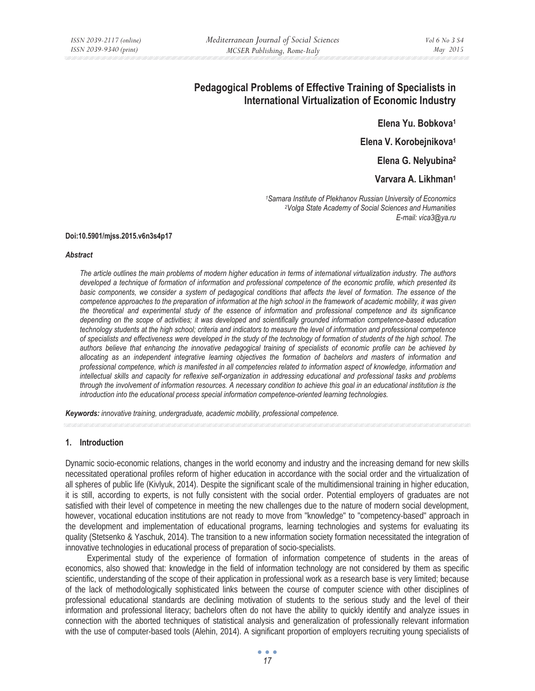# **Pedagogical Problems of Effective Training of Specialists in International Virtualization of Economic Industry**

**Elena Yu. Bobkova1**

**Elena V. Korobejnikova1**

**Elena G. Nelyubina2**

**Varvara A. Likhman1**

*1Samara Institute of Plekhanov Russian University of Economics 2Volga State Academy of Social Sciences and Humanities E-mail: vica3@ya.ru* 

#### **Doi:10.5901/mjss.2015.v6n3s4p17**

#### *Abstract*

*The article outlines the main problems of modern higher education in terms of international virtualization industry. The authors developed a technique of formation of information and professional competence of the economic profile, which presented its*  basic components, we consider a system of pedagogical conditions that affects the level of formation. The essence of the *competence approaches to the preparation of information at the high school in the framework of academic mobility, it was given the theoretical and experimental study of the essence of information and professional competence and its significance depending on the scope of activities; it was developed and scientifically grounded information competence-based education technology students at the high school; criteria and indicators to measure the level of information and professional competence of specialists and effectiveness were developed in the study of the technology of formation of students of the high school. The authors believe that enhancing the innovative pedagogical training of specialists of economic profile can be achieved by allocating as an independent integrative learning objectives the formation of bachelors and masters of information and professional competence, which is manifested in all competencies related to information aspect of knowledge, information and intellectual skills and capacity for reflexive self-organization in addressing educational and professional tasks and problems through the involvement of information resources. A necessary condition to achieve this goal in an educational institution is the introduction into the educational process special information competence-oriented learning technologies.* 

*Keywords: innovative training, undergraduate, academic mobility, professional competence.*

#### **1. Introduction**

Dynamic socio-economic relations, changes in the world economy and industry and the increasing demand for new skills necessitated operational profiles reform of higher education in accordance with the social order and the virtualization of all spheres of public life (Kivlyuk, 2014). Despite the significant scale of the multidimensional training in higher education, it is still, according to experts, is not fully consistent with the social order. Potential employers of graduates are not satisfied with their level of competence in meeting the new challenges due to the nature of modern social development, however, vocational education institutions are not ready to move from "knowledge" to "competency-based" approach in the development and implementation of educational programs, learning technologies and systems for evaluating its quality (Stetsenko & Yaschuk, 2014). The transition to a new information society formation necessitated the integration of innovative technologies in educational process of preparation of socio-specialists.

Experimental study of the experience of formation of information competence of students in the areas of economics, also showed that: knowledge in the field of information technology are not considered by them as specific scientific, understanding of the scope of their application in professional work as a research base is very limited; because of the lack of methodologically sophisticated links between the course of computer science with other disciplines of professional educational standards are declining motivation of students to the serious study and the level of their information and professional literacy; bachelors often do not have the ability to quickly identify and analyze issues in connection with the aborted techniques of statistical analysis and generalization of professionally relevant information with the use of computer-based tools (Alehin, 2014). A significant proportion of employers recruiting young specialists of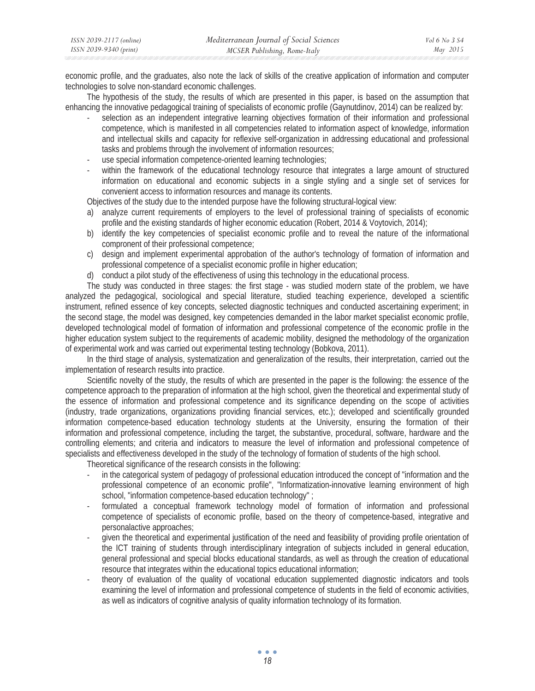| ISSN 2039-2117 (online) | Mediterranean Journal of Social Sciences | Vol 6 No 3 S4 |
|-------------------------|------------------------------------------|---------------|
| ISSN 2039-9340 (print)  | MCSER Publishing, Rome-Italy             | May 2015      |

economic profile, and the graduates, also note the lack of skills of the creative application of information and computer technologies to solve non-standard economic challenges.

The hypothesis of the study, the results of which are presented in this paper, is based on the assumption that enhancing the innovative pedagogical training of specialists of economic profile (Gaynutdinov, 2014) can be realized by:

- selection as an independent integrative learning objectives formation of their information and professional competence, which is manifested in all competencies related to information aspect of knowledge, information and intellectual skills and capacity for reflexive self-organization in addressing educational and professional tasks and problems through the involvement of information resources;
- use special information competence-oriented learning technologies;
- within the framework of the educational technology resource that integrates a large amount of structured information on educational and economic subjects in a single styling and a single set of services for convenient access to information resources and manage its contents.

Objectives of the study due to the intended purpose have the following structural-logical view:

- a) analyze current requirements of employers to the level of professional training of specialists of economic profile and the existing standards of higher economic education (Robert, 2014 & Voytovich, 2014);
- b) identify the key competencies of specialist economic profile and to reveal the nature of the informational compronent of their professional competence;
- c) design and implement experimental approbation of the author's technology of formation of information and professional competence of a specialist economic profile in higher education;
- d) conduct a pilot study of the effectiveness of using this technology in the educational process.

The study was conducted in three stages: the first stage - was studied modern state of the problem, we have analyzed the pedagogical, sociological and special literature, studied teaching experience, developed a scientific instrument, refined essence of key concepts, selected diagnostic techniques and conducted ascertaining experiment; in the second stage, the model was designed, key competencies demanded in the labor market specialist economic profile, developed technological model of formation of information and professional competence of the economic profile in the higher education system subject to the requirements of academic mobility, designed the methodology of the organization of experimental work and was carried out experimental testing technology (Bobkova, 2011).

In the third stage of analysis, systematization and generalization of the results, their interpretation, carried out the implementation of research results into practice.

Scientific novelty of the study, the results of which are presented in the paper is the following: the essence of the competence approach to the preparation of information at the high school, given the theoretical and experimental study of the essence of information and professional competence and its significance depending on the scope of activities (industry, trade organizations, organizations providing financial services, etc.); developed and scientifically grounded information competence-based education technology students at the University, ensuring the formation of their information and professional competence, including the target, the substantive, procedural, software, hardware and the controlling elements; and criteria and indicators to measure the level of information and professional competence of specialists and effectiveness developed in the study of the technology of formation of students of the high school.

Theoretical significance of the research consists in the following:

- in the categorical system of pedagogy of professional education introduced the concept of "information and the professional competence of an economic profile", "Informatization-innovative learning environment of high school, "information competence-based education technology" ;
- formulated a conceptual framework technology model of formation of information and professional competence of specialists of economic profile, based on the theory of competence-based, integrative and personalactive approaches;
- given the theoretical and experimental justification of the need and feasibility of providing profile orientation of the ICT training of students through interdisciplinary integration of subjects included in general education, general professional and special blocks educational standards, as well as through the creation of educational resource that integrates within the educational topics educational information;
- theory of evaluation of the quality of vocational education supplemented diagnostic indicators and tools examining the level of information and professional competence of students in the field of economic activities, as well as indicators of cognitive analysis of quality information technology of its formation.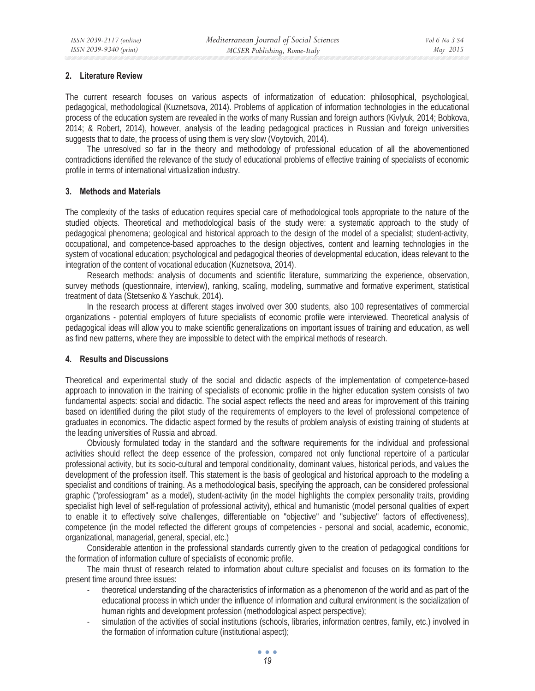## **2. Literature Review**

The current research focuses on various aspects of informatization of education: philosophical, psychological, pedagogical, methodological (Kuznetsova, 2014). Problems of application of information technologies in the educational process of the education system are revealed in the works of many Russian and foreign authors (Kivlyuk, 2014; Bobkova, 2014; & Robert, 2014), however, analysis of the leading pedagogical practices in Russian and foreign universities suggests that to date, the process of using them is very slow (Voytovich, 2014).

The unresolved so far in the theory and methodology of professional education of all the abovementioned contradictions identified the relevance of the study of educational problems of effective training of specialists of economic profile in terms of international virtualization industry.

## **3. Methods and Materials**

The complexity of the tasks of education requires special care of methodological tools appropriate to the nature of the studied objects. Theoretical and methodological basis of the study were: a systematic approach to the study of pedagogical phenomena; geological and historical approach to the design of the model of a specialist; student-activity, occupational, and competence-based approaches to the design objectives, content and learning technologies in the system of vocational education; psychological and pedagogical theories of developmental education, ideas relevant to the integration of the content of vocational education (Kuznetsova, 2014).

Research methods: analysis of documents and scientific literature, summarizing the experience, observation, survey methods (questionnaire, interview), ranking, scaling, modeling, summative and formative experiment, statistical treatment of data (Stetsenko & Yaschuk, 2014).

In the research process at different stages involved over 300 students, also 100 representatives of commercial organizations - potential employers of future specialists of economic profile were interviewed. Theoretical analysis of pedagogical ideas will allow you to make scientific generalizations on important issues of training and education, as well as find new patterns, where they are impossible to detect with the empirical methods of research.

## **4. Results and Discussions**

Theoretical and experimental study of the social and didactic aspects of the implementation of competence-based approach to innovation in the training of specialists of economic profile in the higher education system consists of two fundamental aspects: social and didactic. The social aspect reflects the need and areas for improvement of this training based on identified during the pilot study of the requirements of employers to the level of professional competence of graduates in economics. The didactic aspect formed by the results of problem analysis of existing training of students at the leading universities of Russia and abroad.

Obviously formulated today in the standard and the software requirements for the individual and professional activities should reflect the deep essence of the profession, compared not only functional repertoire of a particular professional activity, but its socio-cultural and temporal conditionality, dominant values, historical periods, and values the development of the profession itself. This statement is the basis of geological and historical approach to the modeling a specialist and conditions of training. As a methodological basis, specifying the approach, can be considered professional graphic ("professiogram" as a model), student-activity (in the model highlights the complex personality traits, providing specialist high level of self-regulation of professional activity), ethical and humanistic (model personal qualities of expert to enable it to effectively solve challenges, differentiable on "objective" and "subjective" factors of effectiveness), competence (in the model reflected the different groups of competencies - personal and social, academic, economic, organizational, managerial, general, special, etc.)

Considerable attention in the professional standards currently given to the creation of pedagogical conditions for the formation of information culture of specialists of economic profile.

The main thrust of research related to information about culture specialist and focuses on its formation to the present time around three issues:

- theoretical understanding of the characteristics of information as a phenomenon of the world and as part of the educational process in which under the influence of information and cultural environment is the socialization of human rights and development profession (methodological aspect perspective);
- simulation of the activities of social institutions (schools, libraries, information centres, family, etc.) involved in the formation of information culture (institutional aspect);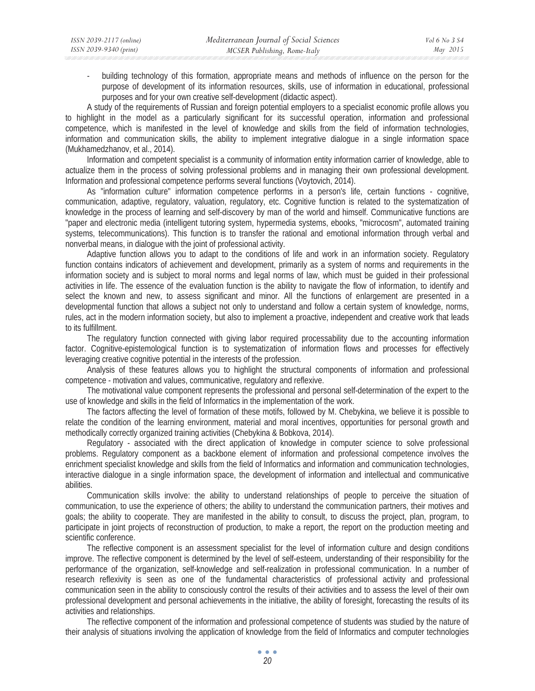building technology of this formation, appropriate means and methods of influence on the person for the purpose of development of its information resources, skills, use of information in educational, professional purposes and for your own creative self-development (didactic aspect).

A study of the requirements of Russian and foreign potential employers to a specialist economic profile allows you to highlight in the model as a particularly significant for its successful operation, information and professional competence, which is manifested in the level of knowledge and skills from the field of information technologies, information and communication skills, the ability to implement integrative dialogue in a single information space (Mukhamedzhanov, et al., 2014).

Information and competent specialist is a community of information entity information carrier of knowledge, able to actualize them in the process of solving professional problems and in managing their own professional development. Information and professional competence performs several functions (Voytovich, 2014).

As "information culture" information competence performs in a person's life, certain functions - cognitive, communication, adaptive, regulatory, valuation, regulatory, etc. Cognitive function is related to the systematization of knowledge in the process of learning and self-discovery by man of the world and himself. Communicative functions are "paper and electronic media (intelligent tutoring system, hypermedia systems, ebooks, "microcosm", automated training systems, telecommunications). This function is to transfer the rational and emotional information through verbal and nonverbal means, in dialogue with the joint of professional activity.

Adaptive function allows you to adapt to the conditions of life and work in an information society. Regulatory function contains indicators of achievement and development, primarily as a system of norms and requirements in the information society and is subject to moral norms and legal norms of law, which must be guided in their professional activities in life. The essence of the evaluation function is the ability to navigate the flow of information, to identify and select the known and new, to assess significant and minor. All the functions of enlargement are presented in a developmental function that allows a subject not only to understand and follow a certain system of knowledge, norms, rules, act in the modern information society, but also to implement a proactive, independent and creative work that leads to its fulfillment.

The regulatory function connected with giving labor required processability due to the accounting information factor. Cognitive-epistemological function is to systematization of information flows and processes for effectively leveraging creative cognitive potential in the interests of the profession.

Analysis of these features allows you to highlight the structural components of information and professional competence - motivation and values, communicative, regulatory and reflexive.

The motivational value component represents the professional and personal self-determination of the expert to the use of knowledge and skills in the field of Informatics in the implementation of the work.

The factors affecting the level of formation of these motifs, followed by M. Chebykina, we believe it is possible to relate the condition of the learning environment, material and moral incentives, opportunities for personal growth and methodically correctly organized training activities (Chebykina & Bobkova, 2014).

Regulatory - associated with the direct application of knowledge in computer science to solve professional problems. Regulatory component as a backbone element of information and professional competence involves the enrichment specialist knowledge and skills from the field of Informatics and information and communication technologies, interactive dialogue in a single information space, the development of information and intellectual and communicative abilities.

Communication skills involve: the ability to understand relationships of people to perceive the situation of communication, to use the experience of others; the ability to understand the communication partners, their motives and goals; the ability to cooperate. They are manifested in the ability to consult, to discuss the project, plan, program, to participate in joint projects of reconstruction of production, to make a report, the report on the production meeting and scientific conference.

The reflective component is an assessment specialist for the level of information culture and design conditions improve. The reflective component is determined by the level of self-esteem, understanding of their responsibility for the performance of the organization, self-knowledge and self-realization in professional communication. In a number of research reflexivity is seen as one of the fundamental characteristics of professional activity and professional communication seen in the ability to consciously control the results of their activities and to assess the level of their own professional development and personal achievements in the initiative, the ability of foresight, forecasting the results of its activities and relationships.

The reflective component of the information and professional competence of students was studied by the nature of their analysis of situations involving the application of knowledge from the field of Informatics and computer technologies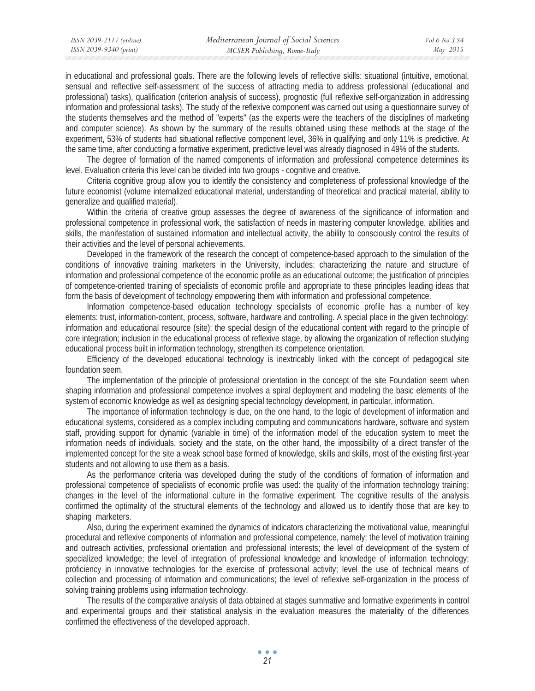in educational and professional goals. There are the following levels of reflective skills: situational (intuitive, emotional, sensual and reflective self-assessment of the success of attracting media to address professional (educational and professional) tasks), qualification (criterion analysis of success), prognostic (full reflexive self-organization in addressing information and professional tasks). The study of the reflexive component was carried out using a questionnaire survey of the students themselves and the method of "experts" (as the experts were the teachers of the disciplines of marketing and computer science). As shown by the summary of the results obtained using these methods at the stage of the experiment, 53% of students had situational reflective component level, 36% in qualifying and only 11% is predictive. At the same time, after conducting a formative experiment, predictive level was already diagnosed in 49% of the students.

The degree of formation of the named components of information and professional competence determines its level. Evaluation criteria this level can be divided into two groups - cognitive and creative.

Criteria cognitive group allow you to identify the consistency and completeness of professional knowledge of the future economist (volume internalized educational material, understanding of theoretical and practical material, ability to generalize and qualified material).

Within the criteria of creative group assesses the degree of awareness of the significance of information and professional competence in professional work, the satisfaction of needs in mastering computer knowledge, abilities and skills, the manifestation of sustained information and intellectual activity, the ability to consciously control the results of their activities and the level of personal achievements.

Developed in the framework of the research the concept of competence-based approach to the simulation of the conditions of innovative training marketers in the University, includes: characterizing the nature and structure of information and professional competence of the economic profile as an educational outcome; the justification of principles of competence-oriented training of specialists of economic profile and appropriate to these principles leading ideas that form the basis of development of technology empowering them with information and professional competence.

Information competence-based education technology specialists of economic profile has a number of key elements: trust, information-content, process, software, hardware and controlling. A special place in the given technology: information and educational resource (site); the special design of the educational content with regard to the principle of core integration; inclusion in the educational process of reflexive stage, by allowing the organization of reflection studying educational process built in information technology, strengthen its competence orientation.

Efficiency of the developed educational technology is inextricably linked with the concept of pedagogical site foundation seem.

The implementation of the principle of professional orientation in the concept of the site Foundation seem when shaping information and professional competence involves a spiral deployment and modeling the basic elements of the system of economic knowledge as well as designing special technology development, in particular, information.

The importance of information technology is due, on the one hand, to the logic of development of information and educational systems, considered as a complex including computing and communications hardware, software and system staff, providing support for dynamic (variable in time) of the information model of the education system to meet the information needs of individuals, society and the state, on the other hand, the impossibility of a direct transfer of the implemented concept for the site a weak school base formed of knowledge, skills and skills, most of the existing first-year students and not allowing to use them as a basis.

As the performance criteria was developed during the study of the conditions of formation of information and professional competence of specialists of economic profile was used: the quality of the information technology training; changes in the level of the informational culture in the formative experiment. The cognitive results of the analysis confirmed the optimality of the structural elements of the technology and allowed us to identify those that are key to shaping marketers.

Also, during the experiment examined the dynamics of indicators characterizing the motivational value, meaningful procedural and reflexive components of information and professional competence, namely: the level of motivation training and outreach activities, professional orientation and professional interests; the level of development of the system of specialized knowledge; the level of integration of professional knowledge and knowledge of information technology; proficiency in innovative technologies for the exercise of professional activity; level the use of technical means of collection and processing of information and communications; the level of reflexive self-organization in the process of solving training problems using information technology.

The results of the comparative analysis of data obtained at stages summative and formative experiments in control and experimental groups and their statistical analysis in the evaluation measures the materiality of the differences confirmed the effectiveness of the developed approach.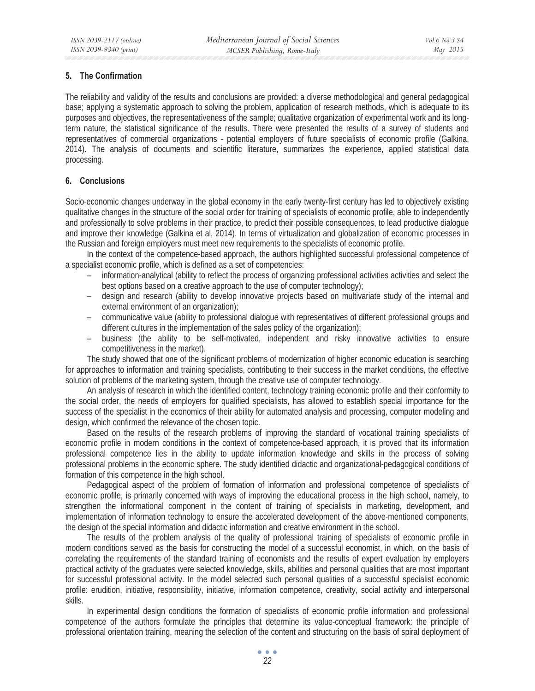# **5. The Confirmation**

The reliability and validity of the results and conclusions are provided: a diverse methodological and general pedagogical base; applying a systematic approach to solving the problem, application of research methods, which is adequate to its purposes and objectives, the representativeness of the sample; qualitative organization of experimental work and its longterm nature, the statistical significance of the results. There were presented the results of a survey of students and representatives of commercial organizations - potential employers of future specialists of economic profile (Galkina, 2014). The analysis of documents and scientific literature, summarizes the experience, applied statistical data processing.

# **6. Conclusions**

Socio-economic changes underway in the global economy in the early twenty-first century has led to objectively existing qualitative changes in the structure of the social order for training of specialists of economic profile, able to independently and professionally to solve problems in their practice, to predict their possible consequences, to lead productive dialogue and improve their knowledge (Galkina et al, 2014). In terms of virtualization and globalization of economic processes in the Russian and foreign employers must meet new requirements to the specialists of economic profile.

In the context of the competence-based approach, the authors highlighted successful professional competence of a specialist economic profile, which is defined as a set of competencies:

- information-analytical (ability to reflect the process of organizing professional activities activities and select the best options based on a creative approach to the use of computer technology);
- design and research (ability to develop innovative projects based on multivariate study of the internal and external environment of an organization);
- communicative value (ability to professional dialogue with representatives of different professional groups and different cultures in the implementation of the sales policy of the organization);
- business (the ability to be self-motivated, independent and risky innovative activities to ensure competitiveness in the market).

The study showed that one of the significant problems of modernization of higher economic education is searching for approaches to information and training specialists, contributing to their success in the market conditions, the effective solution of problems of the marketing system, through the creative use of computer technology.

An analysis of research in which the identified content, technology training economic profile and their conformity to the social order, the needs of employers for qualified specialists, has allowed to establish special importance for the success of the specialist in the economics of their ability for automated analysis and processing, computer modeling and design, which confirmed the relevance of the chosen topic.

Based on the results of the research problems of improving the standard of vocational training specialists of economic profile in modern conditions in the context of competence-based approach, it is proved that its information professional competence lies in the ability to update information knowledge and skills in the process of solving professional problems in the economic sphere. The study identified didactic and organizational-pedagogical conditions of formation of this competence in the high school.

Pedagogical aspect of the problem of formation of information and professional competence of specialists of economic profile, is primarily concerned with ways of improving the educational process in the high school, namely, to strengthen the informational component in the content of training of specialists in marketing, development, and implementation of information technology to ensure the accelerated development of the above-mentioned components, the design of the special information and didactic information and creative environment in the school.

The results of the problem analysis of the quality of professional training of specialists of economic profile in modern conditions served as the basis for constructing the model of a successful economist, in which, on the basis of correlating the requirements of the standard training of economists and the results of expert evaluation by employers practical activity of the graduates were selected knowledge, skills, abilities and personal qualities that are most important for successful professional activity. In the model selected such personal qualities of a successful specialist economic profile: erudition, initiative, responsibility, initiative, information competence, creativity, social activity and interpersonal skills.

In experimental design conditions the formation of specialists of economic profile information and professional competence of the authors formulate the principles that determine its value-conceptual framework: the principle of professional orientation training, meaning the selection of the content and structuring on the basis of spiral deployment of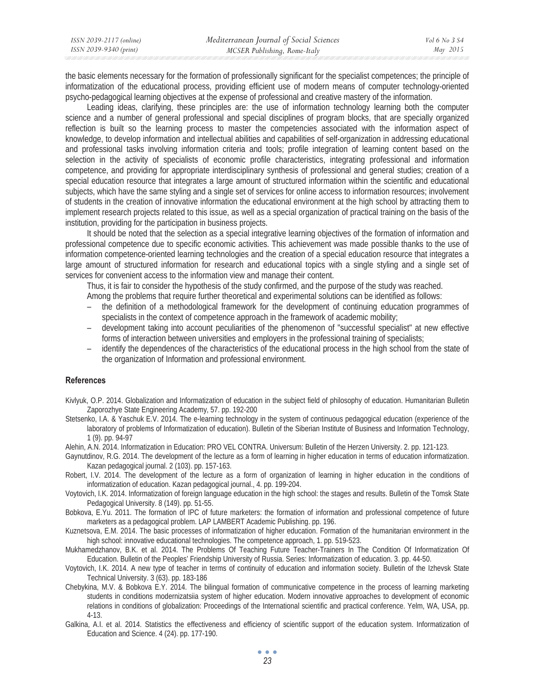| ISSN 2039-2117 (online) | Mediterranean Journal of Social Sciences | Vol 6 No 3 S4 |
|-------------------------|------------------------------------------|---------------|
| ISSN 2039-9340 (print)  | MCSER Publishing, Rome-Italy             | May 2015      |

the basic elements necessary for the formation of professionally significant for the specialist competences; the principle of informatization of the educational process, providing efficient use of modern means of computer technology-oriented psycho-pedagogical learning objectives at the expense of professional and creative mastery of the information.

Leading ideas, clarifying, these principles are: the use of information technology learning both the computer science and a number of general professional and special disciplines of program blocks, that are specially organized reflection is built so the learning process to master the competencies associated with the information aspect of knowledge, to develop information and intellectual abilities and capabilities of self-organization in addressing educational and professional tasks involving information criteria and tools; profile integration of learning content based on the selection in the activity of specialists of economic profile characteristics, integrating professional and information competence, and providing for appropriate interdisciplinary synthesis of professional and general studies; creation of a special education resource that integrates a large amount of structured information within the scientific and educational subjects, which have the same styling and a single set of services for online access to information resources; involvement of students in the creation of innovative information the educational environment at the high school by attracting them to implement research projects related to this issue, as well as a special organization of practical training on the basis of the institution, providing for the participation in business projects.

It should be noted that the selection as a special integrative learning objectives of the formation of information and professional competence due to specific economic activities. This achievement was made possible thanks to the use of information competence-oriented learning technologies and the creation of a special education resource that integrates a large amount of structured information for research and educational topics with a single styling and a single set of services for convenient access to the information view and manage their content.

Thus, it is fair to consider the hypothesis of the study confirmed, and the purpose of the study was reached. Among the problems that require further theoretical and experimental solutions can be identified as follows:

- the definition of a methodological framework for the development of continuing education programmes of specialists in the context of competence approach in the framework of academic mobility;
- development taking into account peculiarities of the phenomenon of "successful specialist" at new effective forms of interaction between universities and employers in the professional training of specialists;
- identify the dependences of the characteristics of the educational process in the high school from the state of the organization of Information and professional environment.

### **References**

- Kivlyuk, O.P. 2014. Globalization and Informatization of education in the subject field of philosophy of education. Humanitarian Bulletin Zaporozhye State Engineering Academy, 57. pp. 192-200
- Stetsenko, I.A. & Yaschuk E.V. 2014. The e-learning technology in the system of continuous pedagogical education (experience of the laboratory of problems of Informatization of education). Bulletin of the Siberian Institute of Business and Information Technology, 1 (9). pp. 94-97
- Alehin, A.N. 2014. Informatization in Education: PRO VEL CONTRA. Universum: Bulletin of the Herzen University. 2. pp. 121-123.
- Gaynutdinov, R.G. 2014. The development of the lecture as a form of learning in higher education in terms of education informatization. Kazan pedagogical journal. 2 (103). pp. 157-163.
- Robert, I.V. 2014. The development of the lecture as a form of organization of learning in higher education in the conditions of informatization of education. Kazan pedagogical journal., 4. pp. 199-204.
- Voytovich, I.K. 2014. Informatization of foreign language education in the high school: the stages and results. Bulletin of the Tomsk State Pedagogical University. 8 (149). pp. 51-55.
- Bobkova, E.Yu. 2011. The formation of IPC of future marketers: the formation of information and professional competence of future marketers as a pedagogical problem. LAP LAMBERT Academic Publishing. pp. 196.
- Kuznetsova, E.M. 2014. The basic processes of informatization of higher education. Formation of the humanitarian environment in the high school: innovative educational technologies. The competence approach, 1. pp. 519-523.
- Mukhamedzhanov, B.K. et al. 2014. The Problems Of Teaching Future Teacher-Trainers In The Condition Of Informatization Of Education. Bulletin of the Peoples' Friendship University of Russia. Series: Informatization of education. 3. pp. 44-50.
- Voytovich, I.K. 2014. A new type of teacher in terms of continuity of education and information society. Bulletin of the Izhevsk State Technical University. 3 (63). pp. 183-186
- Chebykina, M.V. & Bobkova E.Y. 2014. The bilingual formation of communicative competence in the process of learning marketing students in conditions modernizatsiia system of higher education. Modern innovative approaches to development of economic relations in conditions of globalization: Proceedings of the International scientific and practical conference. Yelm, WA, USA, pp. 4-13.
- Galkina, A.I. et al. 2014. Statistics the effectiveness and efficiency of scientific support of the education system. Informatization of Education and Science. 4 (24). pp. 177-190.